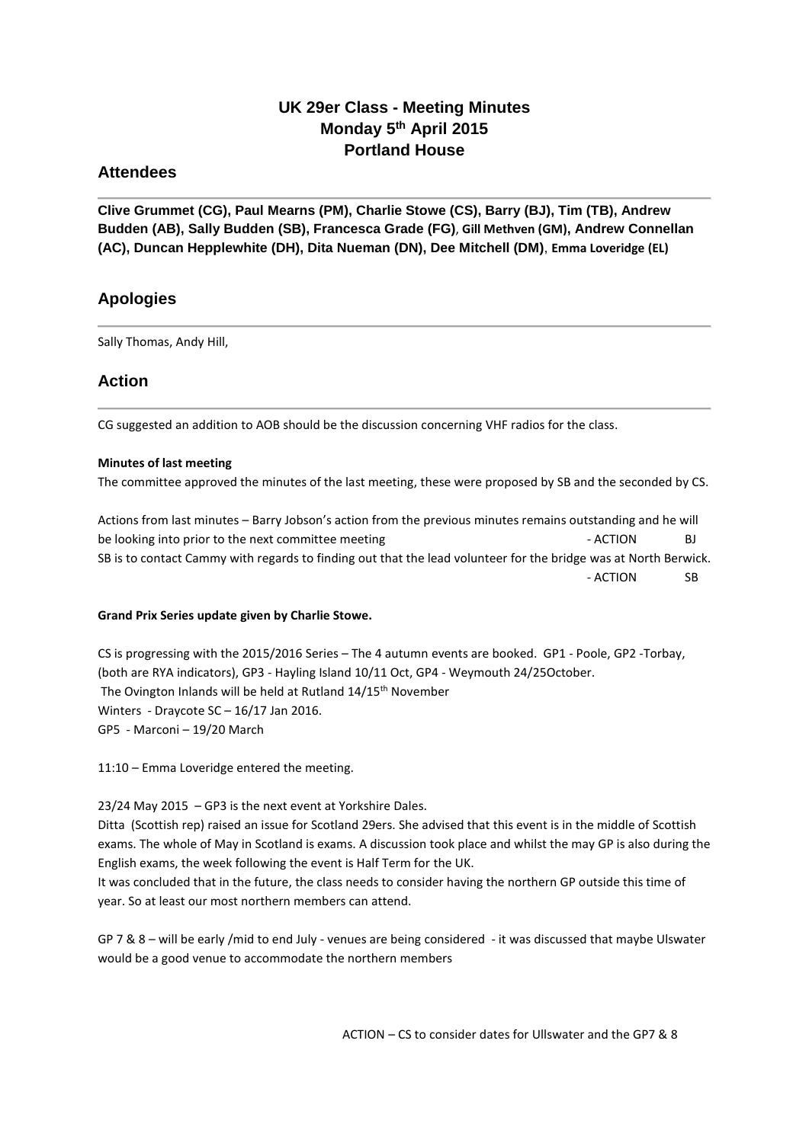# **UK 29er Class - Meeting Minutes Monday 5 th April 2015 Portland House**

## **Attendees**

**Clive Grummet (CG), Paul Mearns (PM), Charlie Stowe (CS), Barry (BJ), Tim (TB), Andrew Budden (AB), Sally Budden (SB), Francesca Grade (FG)**, **Gill Methven (GM), Andrew Connellan (AC), Duncan Hepplewhite (DH), Dita Nueman (DN), Dee Mitchell (DM)**, **Emma Loveridge (EL)**

## **Apologies**

Sally Thomas, Andy Hill,

## **Action**

CG suggested an addition to AOB should be the discussion concerning VHF radios for the class.

### **Minutes of last meeting**

The committee approved the minutes of the last meeting, these were proposed by SB and the seconded by CS.

Actions from last minutes – Barry Jobson's action from the previous minutes remains outstanding and he will be looking into prior to the next committee meeting example of the set of the North ACTION BJ SB is to contact Cammy with regards to finding out that the lead volunteer for the bridge was at North Berwick. - ACTION SB

## **Grand Prix Series update given by Charlie Stowe.**

CS is progressing with the 2015/2016 Series – The 4 autumn events are booked. GP1 - Poole, GP2 -Torbay, (both are RYA indicators), GP3 - Hayling Island 10/11 Oct, GP4 - Weymouth 24/25October. The Ovington Inlands will be held at Rutland 14/15<sup>th</sup> November Winters - Draycote SC – 16/17 Jan 2016. GP5 - Marconi – 19/20 March

11:10 – Emma Loveridge entered the meeting.

23/24 May 2015 – GP3 is the next event at Yorkshire Dales. Ditta (Scottish rep) raised an issue for Scotland 29ers. She advised that this event is in the middle of Scottish exams. The whole of May in Scotland is exams. A discussion took place and whilst the may GP is also during the English exams, the week following the event is Half Term for the UK. It was concluded that in the future, the class needs to consider having the northern GP outside this time of year. So at least our most northern members can attend.

GP 7 & 8 – will be early /mid to end July - venues are being considered - it was discussed that maybe Ulswater would be a good venue to accommodate the northern members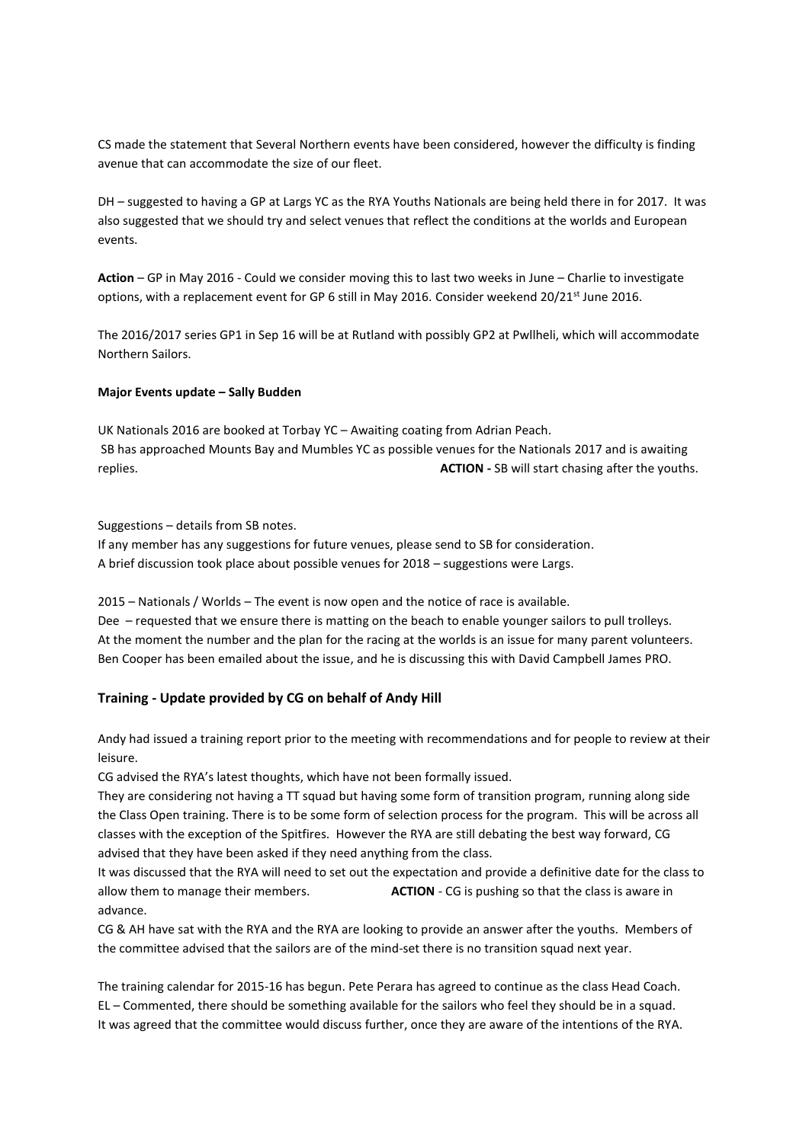CS made the statement that Several Northern events have been considered, however the difficulty is finding avenue that can accommodate the size of our fleet.

DH – suggested to having a GP at Largs YC as the RYA Youths Nationals are being held there in for 2017. It was also suggested that we should try and select venues that reflect the conditions at the worlds and European events.

**Action** – GP in May 2016 - Could we consider moving this to last two weeks in June – Charlie to investigate options, with a replacement event for GP 6 still in May 2016. Consider weekend 20/21<sup>st</sup> June 2016.

The 2016/2017 series GP1 in Sep 16 will be at Rutland with possibly GP2 at Pwllheli, which will accommodate Northern Sailors.

### **Major Events update – Sally Budden**

UK Nationals 2016 are booked at Torbay YC – Awaiting coating from Adrian Peach. SB has approached Mounts Bay and Mumbles YC as possible venues for the Nationals 2017 and is awaiting replies. **ACTION -** SB will start chasing after the youths.

Suggestions – details from SB notes.

If any member has any suggestions for future venues, please send to SB for consideration. A brief discussion took place about possible venues for 2018 – suggestions were Largs.

2015 – Nationals / Worlds – The event is now open and the notice of race is available. Dee – requested that we ensure there is matting on the beach to enable younger sailors to pull trolleys. At the moment the number and the plan for the racing at the worlds is an issue for many parent volunteers. Ben Cooper has been emailed about the issue, and he is discussing this with David Campbell James PRO.

#### **Training - Update provided by CG on behalf of Andy Hill**

Andy had issued a training report prior to the meeting with recommendations and for people to review at their leisure.

CG advised the RYA's latest thoughts, which have not been formally issued.

They are considering not having a TT squad but having some form of transition program, running along side the Class Open training. There is to be some form of selection process for the program. This will be across all classes with the exception of the Spitfires. However the RYA are still debating the best way forward, CG advised that they have been asked if they need anything from the class.

It was discussed that the RYA will need to set out the expectation and provide a definitive date for the class to allow them to manage their members. **ACTION** - CG is pushing so that the class is aware in advance.

CG & AH have sat with the RYA and the RYA are looking to provide an answer after the youths. Members of the committee advised that the sailors are of the mind-set there is no transition squad next year.

The training calendar for 2015-16 has begun. Pete Perara has agreed to continue as the class Head Coach. EL – Commented, there should be something available for the sailors who feel they should be in a squad. It was agreed that the committee would discuss further, once they are aware of the intentions of the RYA.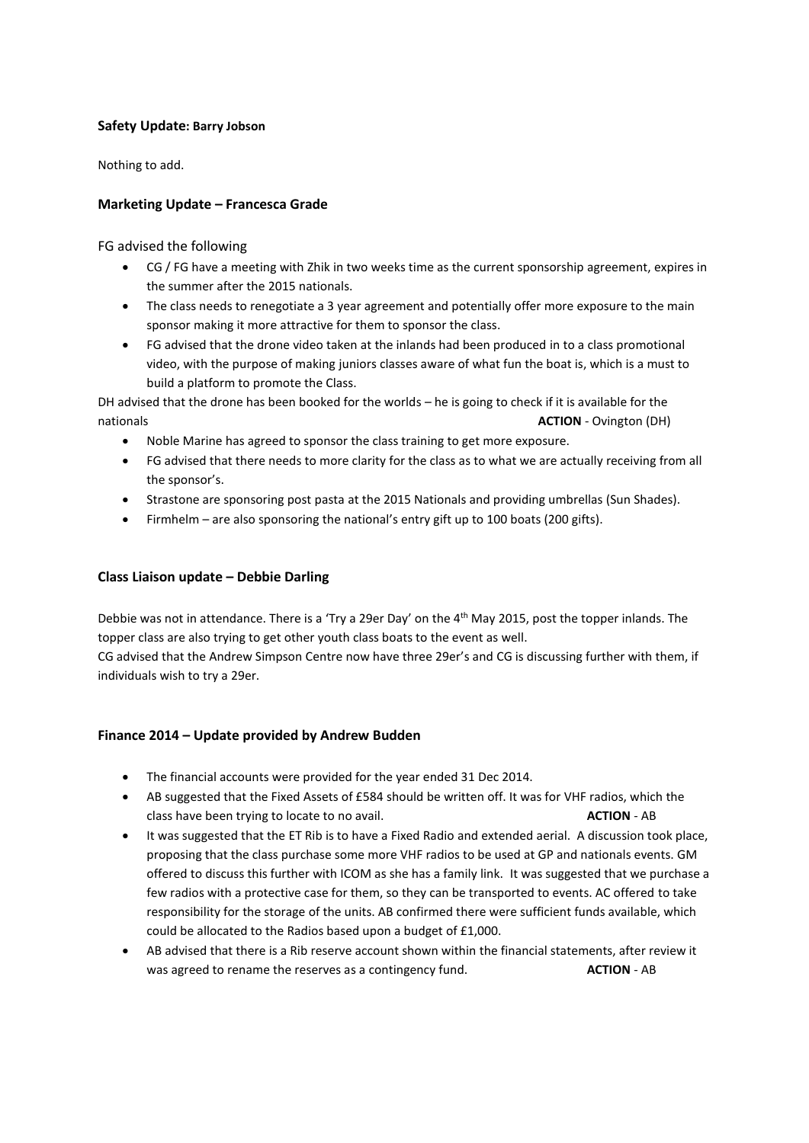## **Safety Update: Barry Jobson**

Nothing to add.

## **Marketing Update – Francesca Grade**

FG advised the following

- CG / FG have a meeting with Zhik in two weeks time as the current sponsorship agreement, expires in the summer after the 2015 nationals.
- The class needs to renegotiate a 3 year agreement and potentially offer more exposure to the main sponsor making it more attractive for them to sponsor the class.
- FG advised that the drone video taken at the inlands had been produced in to a class promotional video, with the purpose of making juniors classes aware of what fun the boat is, which is a must to build a platform to promote the Class.

DH advised that the drone has been booked for the worlds – he is going to check if it is available for the nationals **ACTION** - Ovington (DH)

- Noble Marine has agreed to sponsor the class training to get more exposure.
- FG advised that there needs to more clarity for the class as to what we are actually receiving from all the sponsor's.
- Strastone are sponsoring post pasta at the 2015 Nationals and providing umbrellas (Sun Shades).
- Firmhelm are also sponsoring the national's entry gift up to 100 boats (200 gifts).

## **Class Liaison update – Debbie Darling**

Debbie was not in attendance. There is a 'Try a 29er Day' on the 4th May 2015, post the topper inlands. The topper class are also trying to get other youth class boats to the event as well.

CG advised that the Andrew Simpson Centre now have three 29er's and CG is discussing further with them, if individuals wish to try a 29er.

## **Finance 2014 – Update provided by Andrew Budden**

- The financial accounts were provided for the year ended 31 Dec 2014.
- AB suggested that the Fixed Assets of £584 should be written off. It was for VHF radios, which the class have been trying to locate to no avail. **ACTION** - AB
- It was suggested that the ET Rib is to have a Fixed Radio and extended aerial. A discussion took place, proposing that the class purchase some more VHF radios to be used at GP and nationals events. GM offered to discuss this further with ICOM as she has a family link. It was suggested that we purchase a few radios with a protective case for them, so they can be transported to events. AC offered to take responsibility for the storage of the units. AB confirmed there were sufficient funds available, which could be allocated to the Radios based upon a budget of £1,000.
- AB advised that there is a Rib reserve account shown within the financial statements, after review it was agreed to rename the reserves as a contingency fund. **ACTION** - AB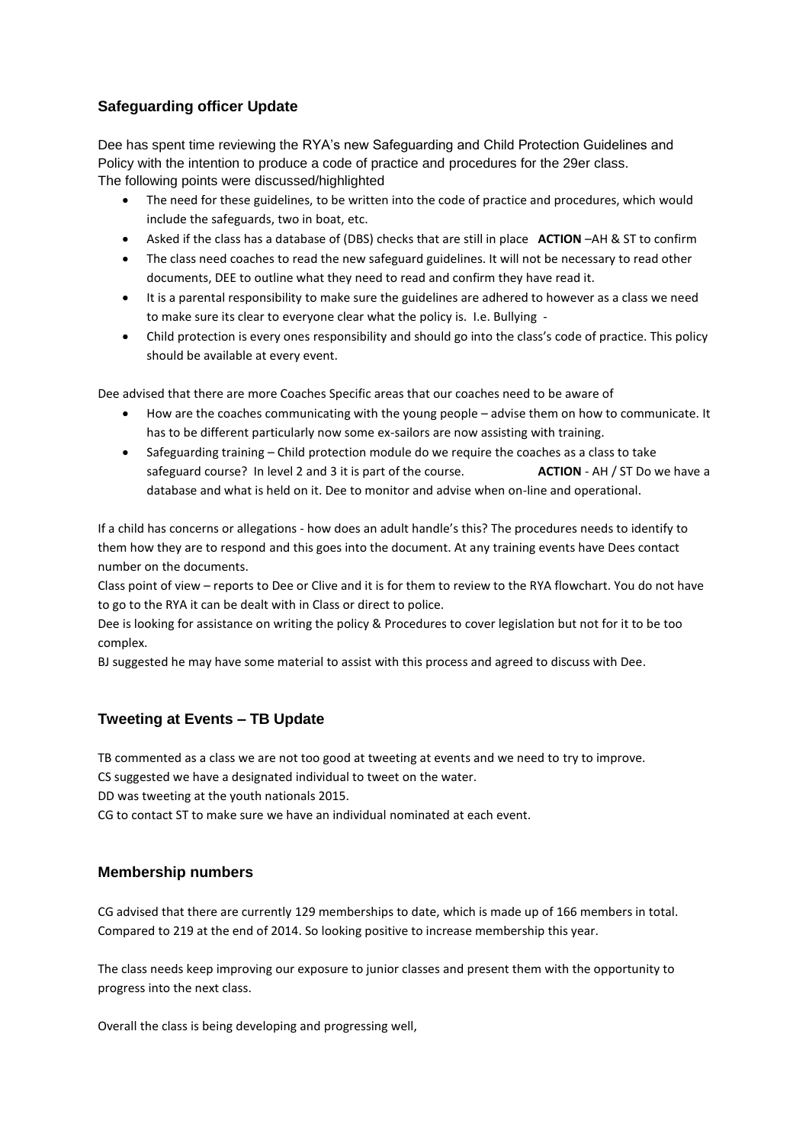## **Safeguarding officer Update**

Dee has spent time reviewing the RYA's new Safeguarding and Child Protection Guidelines and Policy with the intention to produce a code of practice and procedures for the 29er class. The following points were discussed/highlighted

- The need for these guidelines, to be written into the code of practice and procedures, which would include the safeguards, two in boat, etc.
- Asked if the class has a database of (DBS) checks that are still in place **ACTION** –AH & ST to confirm
- The class need coaches to read the new safeguard guidelines. It will not be necessary to read other documents, DEE to outline what they need to read and confirm they have read it.
- It is a parental responsibility to make sure the guidelines are adhered to however as a class we need to make sure its clear to everyone clear what the policy is. I.e. Bullying -
- Child protection is every ones responsibility and should go into the class's code of practice. This policy should be available at every event.

Dee advised that there are more Coaches Specific areas that our coaches need to be aware of

- How are the coaches communicating with the young people advise them on how to communicate. It has to be different particularly now some ex-sailors are now assisting with training.
- Safeguarding training Child protection module do we require the coaches as a class to take safeguard course? In level 2 and 3 it is part of the course. **ACTION** - AH / ST Do we have a database and what is held on it. Dee to monitor and advise when on-line and operational.

If a child has concerns or allegations - how does an adult handle's this? The procedures needs to identify to them how they are to respond and this goes into the document. At any training events have Dees contact number on the documents.

Class point of view – reports to Dee or Clive and it is for them to review to the RYA flowchart. You do not have to go to the RYA it can be dealt with in Class or direct to police.

Dee is looking for assistance on writing the policy & Procedures to cover legislation but not for it to be too complex.

BJ suggested he may have some material to assist with this process and agreed to discuss with Dee.

## **Tweeting at Events – TB Update**

TB commented as a class we are not too good at tweeting at events and we need to try to improve.

CS suggested we have a designated individual to tweet on the water.

DD was tweeting at the youth nationals 2015.

CG to contact ST to make sure we have an individual nominated at each event.

## **Membership numbers**

CG advised that there are currently 129 memberships to date, which is made up of 166 members in total. Compared to 219 at the end of 2014. So looking positive to increase membership this year.

The class needs keep improving our exposure to junior classes and present them with the opportunity to progress into the next class.

Overall the class is being developing and progressing well,